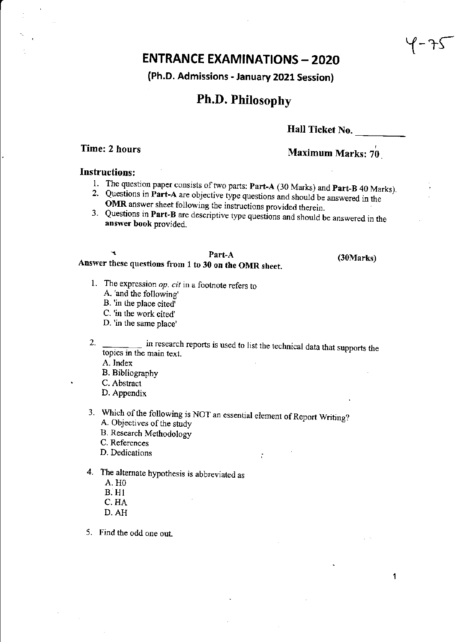# **ENTRANCE EXAMINATIONS - 2020**

## (Ph.D. Admissions - January 2021 Session)

# Ph.D. Philosophy

## Hall Ticket No.

# Time: 2 hours  $\frac{1}{2}$  hours  $\frac{1}{2}$  Maximum Marks:  $\frac{1}{2}$

## Instructions:

- 1. The question paper consists of two parts: Part-A (30 Marks) and Part-B 40 Marks).
- 2. Questions in Part-A are objective type questions and should be answered in the OMR answer sheet following the instructions provided therein.
- 3. Questions in Part-B are descriptive type questions and should be answered in the answer book provided.

## Part-A Answer these questions from 1 to 30 on the OMR sheet.

(30Marks)

 $25 - 1$ 

- 1. The expression *0p. cit* in a footnote refers to
	- A. 'and the following'
	- B. 'in the place cited'
	- C. 'in the work cited'
	- D. 'in the same place'
- 2. \_\_\_\_\_\_\_ in research reports is used to list the technical data that supports the topics in the main text.

 $\ddot{\cdot}$ 

A. Index

- B. Bibliography
- C. Abstract
- D. Appendix
- 3. Which of the following is NOT an essential element of Report Writing? A. Objectives of the study
	- B. Research Methodology
	- C. References
	- D. Dedications
- 4. The alternate hypothesis is abbreviated as
	- A.HO B. HI
	- C.HA
	- D.AH
- 5. Find the odd one out.

1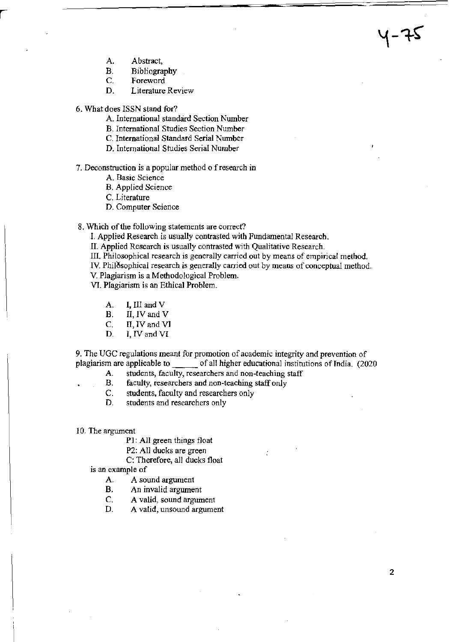- A. Abstract,
- B. Bibliography<br>C. Foreword
- Foreword
- D. Literature Review
- 6. What does ISSN stand for?
	- A. International standard Section Number
	- B. International Studies Section Number
	- C. International Standard Serial Number
	- D. International Studies Serial Number
- 7. Deconstruction is a popular method 0 f research in
	- A. Basic Science
	- B. Applied Science

C. Literature

- D. Computer Science
- 8. Which of the following statements are correct?
	- I. Applied Research is usually contrasted with Fundamental Research.
	- II. Applied Research is usually contrasted with Qualitative Research.
	- III. Philosophical research is generally carried out by means of empirical method.
	- IV. Philosophical research is generally carried out by means of conceptual method.
	- V. Plagiarism is a Methodological Problem.

VI. Plagiarism is an Ethical Problem.

- A. I, III and V
- B. II, IV and V
- C. II, IV and VI
- D. I, IV and VI

9. The UGC regulations meant for promotion of academic integrity and prevention of plagiarism are applicable to \_\_\_\_\_\_\_\_ of all higher educational institutions of India. (2020

- A. students, faculty, researchers and non-teaching staff
- B. faculty, researchers and non-teaching staff only
- C. students, faculty and researchers only
- D. students and researchers only
- 10. The argument

PI: All green things float

P2: All ducks are green

C: Therefore, all ducks float

is an example of

- A. A sound argument
- B. An invalid argument
- C. A valid, sound argument
- D. A valid, unsound argument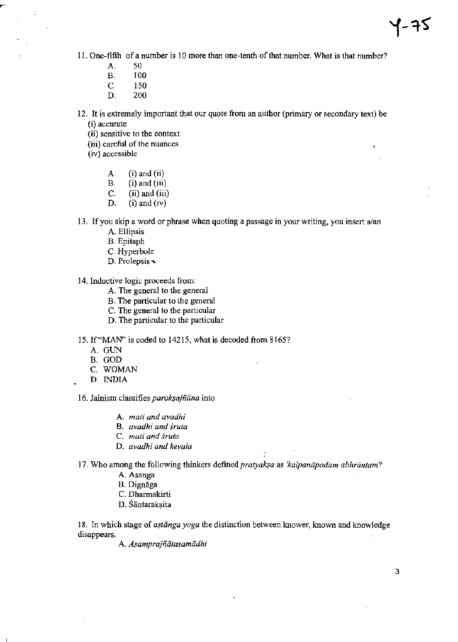Ł

- 11. One-fifth of a number is 10 more than one-tenth of that number. What is that number?
	- A. 50
	- B. 100
	- C. 150
	- D. 200
- 12. It is extremely important that our quote from an author (primary or secondary text) be (i) accurate
	- (ii) sensitive to the context
	- (iii) careful of the nuances
	- (iv) accessible
		- A.  $(i)$  and  $(ii)$
		- B. (i) and  $(iii)$
		- C. (ii) and (iii)<br>D. (i) and (iv)
		- $(i)$  and  $(iv)$
- 13. If you skip a word or phrase when quoting a passage in your writing, you insert a/an
	- A. Ellipsis
	- B. Epitaph
	- C. Hyperbole
	- D. Prolepsis-
- 14. Inductive logic proceeds from:
	- A. The general to the general
	- B. The particular to the general
	- C. The general to the particular
	- D. The particular to the particular
- 15. If "MAN" is coded to 14215, what is decoded from 8165?
	- A. GUN
	- B. GOD
	- C. WOMAN
	- D. INDIA

16. Jainism classifies *paroksajñāna* into

- A. *mati and avadhi*
- B. *avadhi and sruta*
- C. *mati and sruta*
- D. *avadhi and kevala*

17. Who among the following thinkers defined *pratyaksa* as *'kalpanapodam abhrantam*?

- A. Asanga
- B. Dignāga
- C. Dharmakirti
- D. Sāntaraksita

18. In which stage of *astanga yoga* the distinction between knower, known and knowledge disappears.

A. *Asamprajñātasamādhi*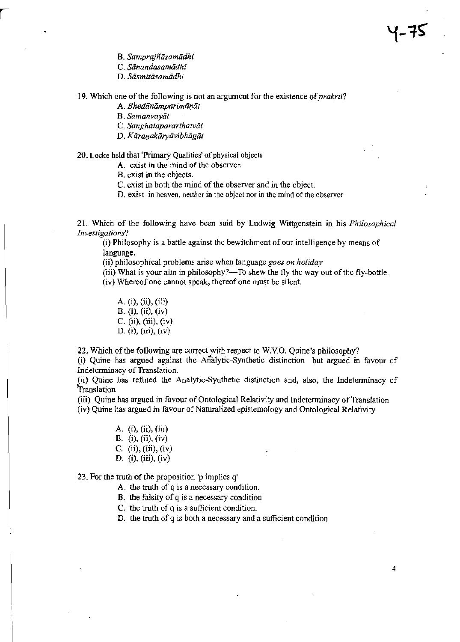- B. Samprajñāsamādhi
- C. *Siinandasamiidhi*
- D. Sāsmitāsamādhi

A. *Bhedānāmparimāņāt* 

B. *Samanvayal* 

C. *Sanghātaparārthatvāt* 

D. Kāraņakāryāvibhāgāt

## 20. Locke held that 'Primary Qualities' of physical objects

A. exist in the mind of the observer.

B. exist in the objects.

C. exist in both the mind of the observer and in the object.

D. exist in heaven, neither in the object nor in the mind of the observer

21. Which of the following have been said by Ludwig Wittgenstein in his *Philosophical Investigations?* 

(i) Philosophy is a battle against the bewitchment of our intelligence by means of language.

(ii) philosophical problems arise when language *goes on holiday* 

(iii) What is your aim in philosophy?--To shew the fly the way out of the fly-bottle.

(iv) Whereof one cannot speak, thereof one must be silent.

A. (i), (ii), (iii) B. (i), (ii), (iv) C. (ii), (iii), (iv) D. (i), (iii), (iv)

22. Which of the following are correct with respect to W.VO. QUine's philosophy?

(i) Quine has argued against the Analytic-Synthetic distinction but argued in favour of Indetenninacy of Translation.

(ii) Quine has refuted the Analytic-Synthetic distinction and, also, the Indetenninacy of Translation

 $\mathcal{L}$ 

(iii) Quine has argued in favour of Ontological Relativity and Indeterminacy of Translation

(iv) Quine has argued in favour of Naturalized epistemology and Ontological Relativity

A. (i), (ii), (iii) B. (i), (ii), (iv) C.  $(ii), (iii), (iv)$ D. (i), (iii), (iv)

23. For the truth of the proposition 'p implies q'

A. the truth of q is a necessary condition.

- B. the falsity of g is a necessary condition
- C. the truth of g is a sufficient condition.

D. the truth of q is both a necessary and a sufficient condition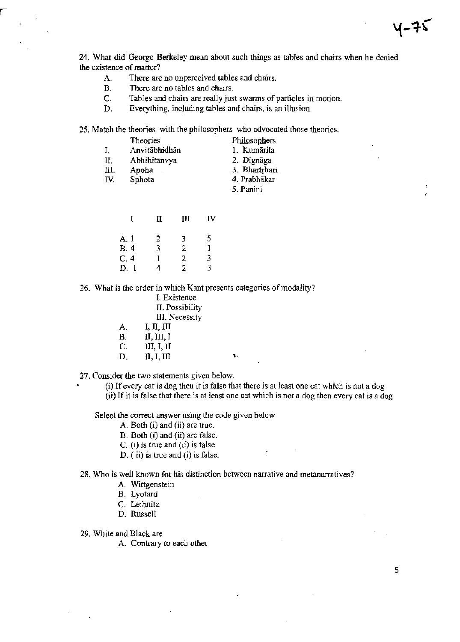24. What did George Berkeley mean about such things as tables and chairs when he denied the existence of matter?

- A. There are no unperceived tables and chairs.
- B. There are no tables and chairs.

 $\ddot{\phi}$ 

- C. Tables and chairs are really just swarms of particles in motion.
- D. Everything, including tables and chairs, is an illusion

25. Match the theories with the philosophers who advocated those theories.

|     | <b>Theories</b> | Philosophers  |
|-----|-----------------|---------------|
| I.  | Anvitābhidhān   | 1. Kumārila   |
| Π.  | Abhihitānvya    | 2. Dignāga    |
| Ш.  | Apoha           | 3. Bhartrhari |
| IV. | Sphota          | 4. Prabhākar  |
|     |                 | 5. Panini     |

|            | П | ИI | IV |
|------------|---|----|----|
| A. 1       | 2 | 3  | 5. |
| <b>B.4</b> | 3 | 2  | 1  |
| C.4        | 1 | 2  | 3  |
| D. 1       | 4 | 2  | 3  |

26. What is the order in which Kant presents categories of modality?

|    | I. Existence          |  |
|----|-----------------------|--|
|    | II. Possibility       |  |
|    | <b>III.</b> Necessity |  |
| A. | I, II, III            |  |
| В. | II, III, I            |  |
| C. | III, I, II            |  |
| D. | II, I, III            |  |
|    |                       |  |

27. Consider the two statements given below.

(i) If every cat is dog then it is false that there is at least one cat which is not a dog (ii) If it is false that there is at least one cat which is not a dog then every cat is a dog

 $\mathcal{L}^{\text{max}}$ 

Select the correct answer using the code given below

- A. Both  $(i)$  and  $(ii)$  are true.
- B. Both (i) and (ii) are false.
- C. (i) is true and (ii) is false
- $D.$  (ii) is true and (i) is false.

28. Who is well known for his distinction between narrative and metanarratives?

- A. Wittgenstein
- B. Lyotard
- C. Leibnitz
- D. Russell

29. White and Black are

A. Contrary to each other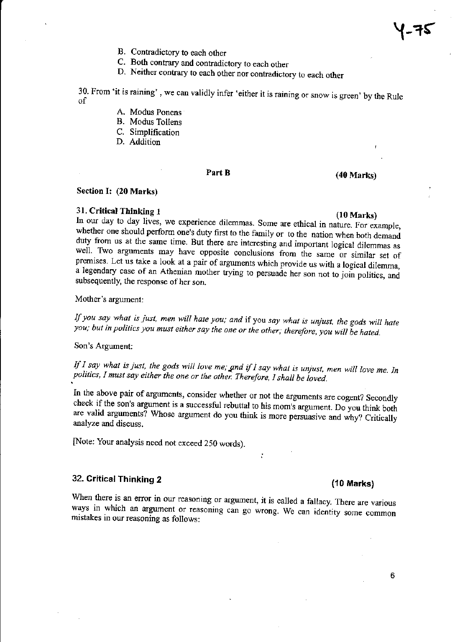- B. Contradictory to each other
- C. Both contrary and contradictory to each other
- D. Neither contrary to each other nor contradictory to each other

30. From 'it is raining', we can validly infer 'either it is raining or snow is green' by the Rule of

- A. Modus Ponens
- B. Modus Tollens
- C. Simplification
- D. Addition

# Part B (40 Marks)

### Section I: (20 Marks)

## 31. Critical Thinking 1 (10 Marks)

In our day to day lives, we experience dilemmas. Some are ethical in nature. For example, whether one should perform one's duty first to the family or to the nation when both demand duty from us at the same time. But there are interesting and important logical dilemmas as well. Two arguments may have opposite conclusions from the same or similar set of premises. Let us take a look at a pair of argwnents which provide us with a logical dilemma, a legendary case of an Athenian mother trying to persuade her son not to join politics, and subsequently, the response of her son.

Mother's argument:

If *you say what* is *just, men will hate you,· and* if you *say what* is *unjust, the gods will hate you; but in politics you must either say the one or the other; therefore, you will be hated.* 

Son's Argument:

If *I say what is just, the gods will love me; and if I say what is unjust, men will love me. In politics, I must say either the one or the other. Therefore, 1 shall be loved.* 

In the above pair of arguments, consider whether or not the arguments are cogent? Secondly check if the son's argument is a successful rebuttal to his mom's argument. Do you think both are valid arguments? Whose argument do you think is more persuasive and why? Critically analyze and discuss.

[Note: Your analysis need not exceed 250 words).

# 32. Critical Thinking 2 (10 Marks)

When there is an error in our reasoning or argument, it is called a fallacy. There are various ways in which an argument or reasoning can go wrong. We can identity some common mistakes in our reasoning as follows: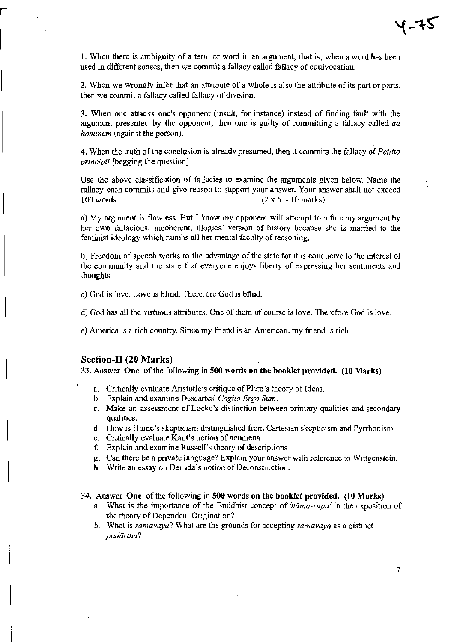1. When there is ambiguity of a tenn or word in an argument, that is, when a word has been used in different senses, then we commit a fallacy called fallacy of equivocation.

2. When we wrongly infer that an attribute of a whole is also the attribute of its part or parts, then we commit a fallacy called fallacy of division.

3. When one attacks one's opponent (insult, for instance) instead of finding fault with the argument presented by the opponent, then one is guilty of committing a fallacy called *ad hominem* (against the person).

, 4. When the truth of the conclusion is already presumed, then it commits the fallacy of *Petitio principii* [begging the question]

Use the above classification of fallacies to examine the arguments given below. Name the fallacy each commits and give reason to support your answer. Your answer shall not exceed 100 words. (2 x  $5 = 10$  marks)

a) My argument is flawless. But I know my opponent will attempt to refute my argument by her own fallacious, incoherent, illogical version of history because she is mamed to the feminist ideology which numbs all her mental faculty of reasoning.

b) Freedom of speech works to the advantage of the state for it is conducive to the interest of the community and the state that everyone enjoys liberty of expressing her sentiments and thoughts.

- c) God is love. Love is blind. Therefore God is blind.
- d) God has all the virtuous attributes. One of them of course is love. Therefore God is love.
- e) America is a rich country. Since my friend is an American, my friend is rich.

## Section-II (20 Marks)

33. Answer One of the following in SOO words on the booklet provided. (10 Marks)

- a. Critically evaluate Aristotle's critique of Plato's theory of Ideas.
- b. Explain and examine Descartes' *Cogito Ergo Sum.*
- c. Make an assessment of Locke's distinction between primary qualities and secondary qUalities.
- d. How is Hume's skepticism distinguished from Cartesian skepticism and Pyrrhonism.
- e. Critically evaluate Kant's notion of noumena.
- f. Explain and examine Russell's theory of descriptions.
- g. Can there be a private language? Explain your'answer with reference to Wittgenstein.
- h. Write an essay on Derrida's notion of Deconstruction.
- 34. Answer One of the following in 500 words on the booklet provided. (10 Marks)
	- a. What is the importance of the Buddhist concept of 'nama-rupa' in the exposition of the theory of Dependent Origination?
	- b. What is *samavaya?* What are the grounds for accepting *samavaya* as a distinct *padiirtha?*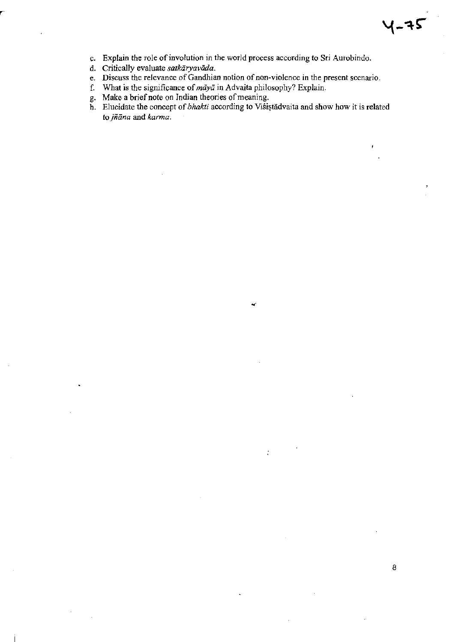

- c. Explain the role of involution in the world process according to Sri Aurobindo.
- d. Critically evaluate *satkaryaviida.*
- e. Discuss the relevance of Gandhian notion of non-violence in the present scenario.
- f. What is the significance of  $m\bar{a}y\bar{a}$  in Advaita philosophy? Explain.
- g. Make a brief note on Indian theories of meaning.
- h. Elucidate the concept of *bhakti* according to Višiștădvaita and show how it is related *tojniina* and *karma.*

 $\ddot{\cdot}$